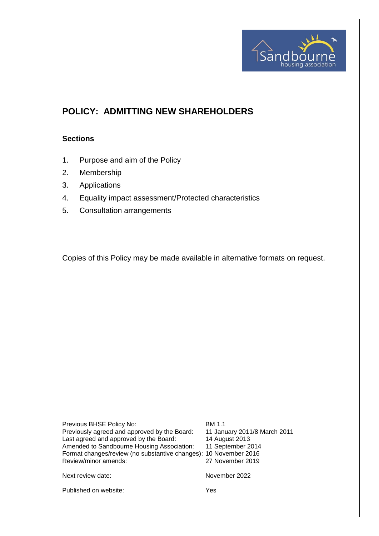

# **POLICY: ADMITTING NEW SHAREHOLDERS**

#### **Sections**

- 1. Purpose and aim of the Policy
- 2. Membership
- 3. Applications
- 4. Equality impact assessment/Protected characteristics
- 5. Consultation arrangements

Copies of this Policy may be made available in alternative formats on request.

Previous BHSE Policy No: BM 1.1<br>Previously agreed and approved by the Board: 11 January 2011/8 March 2011 Previously agreed and approved by the Board: 11 January 2011<br>Last agreed and approved by the Board: 14 August 2013 Last agreed and approved by the Board: 14 August 2013<br>Amended to Sandbourne Housing Association: 11 September 2014 Amended to Sandbourne Housing Association: Format changes/review (no substantive changes): 10 November 2016 Review/minor amends: 27 November 2019

Next review date: November 2022

Published on website: Yes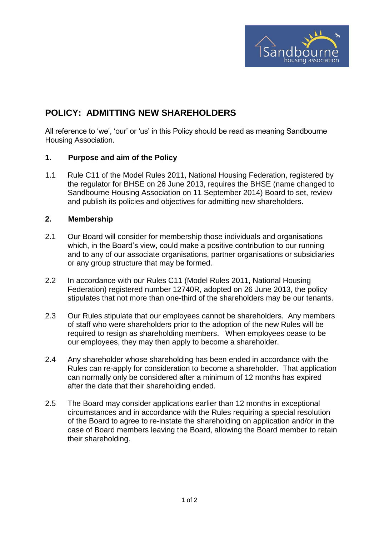

# **POLICY: ADMITTING NEW SHAREHOLDERS**

All reference to 'we', 'our' or 'us' in this Policy should be read as meaning Sandbourne Housing Association.

#### **1. Purpose and aim of the Policy**

1.1 Rule C11 of the Model Rules 2011, National Housing Federation, registered by the regulator for BHSE on 26 June 2013, requires the BHSE (name changed to Sandbourne Housing Association on 11 September 2014) Board to set, review and publish its policies and objectives for admitting new shareholders.

#### **2. Membership**

- 2.1 Our Board will consider for membership those individuals and organisations which, in the Board's view, could make a positive contribution to our running and to any of our associate organisations, partner organisations or subsidiaries or any group structure that may be formed.
- 2.2 In accordance with our Rules C11 (Model Rules 2011, National Housing Federation) registered number 12740R, adopted on 26 June 2013, the policy stipulates that not more than one-third of the shareholders may be our tenants.
- 2.3 Our Rules stipulate that our employees cannot be shareholders. Any members of staff who were shareholders prior to the adoption of the new Rules will be required to resign as shareholding members. When employees cease to be our employees, they may then apply to become a shareholder.
- 2.4 Any shareholder whose shareholding has been ended in accordance with the Rules can re-apply for consideration to become a shareholder. That application can normally only be considered after a minimum of 12 months has expired after the date that their shareholding ended.
- 2.5 The Board may consider applications earlier than 12 months in exceptional circumstances and in accordance with the Rules requiring a special resolution of the Board to agree to re-instate the shareholding on application and/or in the case of Board members leaving the Board, allowing the Board member to retain their shareholding.